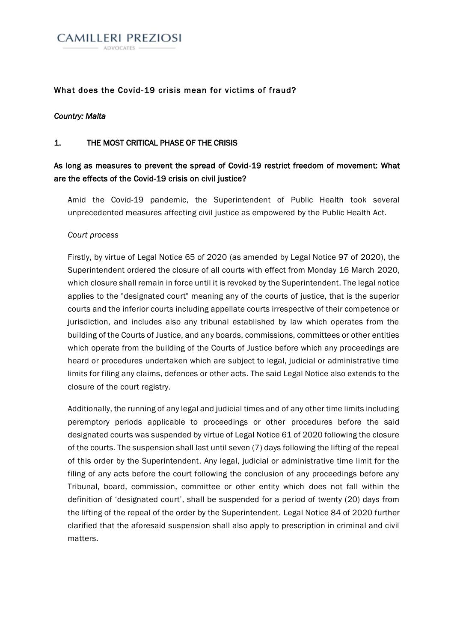

### What does the Covid-19 crisis mean for victims of fraud?

#### *Country: Malta*

#### 1. THE MOST CRITICAL PHASE OF THE CRISIS

## As long as measures to prevent the spread of Covid-19 restrict freedom of movement: What are the effects of the Covid-19 crisis on civil justice?

Amid the Covid-19 pandemic, the Superintendent of Public Health took several unprecedented measures affecting civil justice as empowered by the Public Health Act.

#### *Court process*

Firstly, by virtue of Legal Notice 65 of 2020 (as amended by Legal Notice 97 of 2020), the Superintendent ordered the closure of all courts with effect from Monday 16 March 2020, which closure shall remain in force until it is revoked by the Superintendent. The legal notice applies to the "designated court" meaning any of the courts of justice, that is the superior courts and the inferior courts including appellate courts irrespective of their competence or jurisdiction, and includes also any tribunal established by law which operates from the building of the Courts of Justice, and any boards, commissions, committees or other entities which operate from the building of the Courts of Justice before which any proceedings are heard or procedures undertaken which are subject to legal, judicial or administrative time limits for filing any claims, defences or other acts. The said Legal Notice also extends to the closure of the court registry.

Additionally, the running of any legal and judicial times and of any other time limits including peremptory periods applicable to proceedings or other procedures before the said designated courts was suspended by virtue of Legal Notice 61 of 2020 following the closure of the courts. The suspension shall last until seven (7) days following the lifting of the repeal of this order by the Superintendent. Any legal, judicial or administrative time limit for the filing of any acts before the court following the conclusion of any proceedings before any Tribunal, board, commission, committee or other entity which does not fall within the definition of 'designated court', shall be suspended for a period of twenty (20) days from the lifting of the repeal of the order by the Superintendent. Legal Notice 84 of 2020 further clarified that the aforesaid suspension shall also apply to prescription in criminal and civil matters.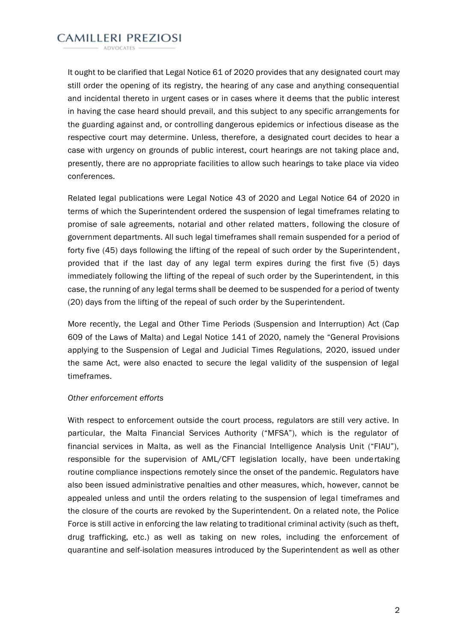**CAMILLERI PREZIOSI ADVOCATES** 

It ought to be clarified that Legal Notice 61 of 2020 provides that any designated court may still order the opening of its registry, the hearing of any case and anything consequential and incidental thereto in urgent cases or in cases where it deems that the public interest in having the case heard should prevail, and this subject to any specific arrangements for the guarding against and, or controlling dangerous epidemics or infectious disease as the respective court may determine. Unless, therefore, a designated court decides to hear a case with urgency on grounds of public interest, court hearings are not taking place and, presently, there are no appropriate facilities to allow such hearings to take place via video conferences.

Related legal publications were Legal Notice 43 of 2020 and Legal Notice 64 of 2020 in terms of which the Superintendent ordered the suspension of legal timeframes relating to promise of sale agreements, notarial and other related matters, following the closure of government departments. All such legal timeframes shall remain suspended for a period of forty five (45) days following the lifting of the repeal of such order by the Superintendent, provided that if the last day of any legal term expires during the first five (5) days immediately following the lifting of the repeal of such order by the Superintendent, in this case, the running of any legal terms shall be deemed to be suspended for a period of twenty (20) days from the lifting of the repeal of such order by the Superintendent.

More recently, the Legal and Other Time Periods (Suspension and Interruption) Act (Cap 609 of the Laws of Malta) and Legal Notice 141 of 2020, namely the "General Provisions applying to the Suspension of Legal and Judicial Times Regulations, 2020, issued under the same Act, were also enacted to secure the legal validity of the suspension of legal timeframes.

#### *Other enforcement efforts*

With respect to enforcement outside the court process, regulators are still very active. In particular, the Malta Financial Services Authority ("MFSA"), which is the regulator of financial services in Malta, as well as the Financial Intelligence Analysis Unit ("FIAU"), responsible for the supervision of AML/CFT legislation locally, have been undertaking routine compliance inspections remotely since the onset of the pandemic. Regulators have also been issued administrative penalties and other measures, which, however, cannot be appealed unless and until the orders relating to the suspension of legal timeframes and the closure of the courts are revoked by the Superintendent. On a related note, the Police Force is still active in enforcing the law relating to traditional criminal activity (such as theft, drug trafficking, etc.) as well as taking on new roles, including the enforcement of quarantine and self-isolation measures introduced by the Superintendent as well as other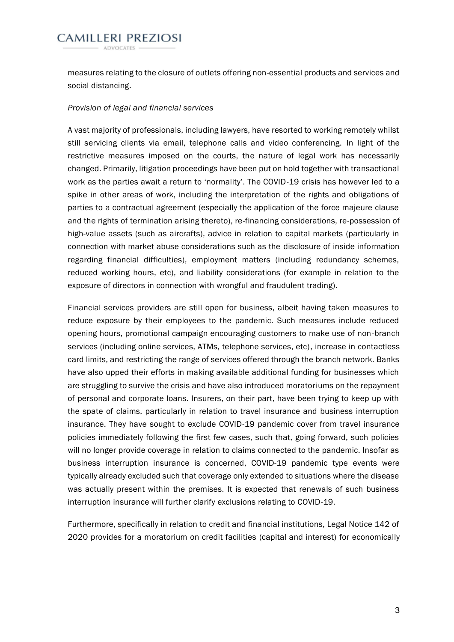**CAMILLERI PREZIOSI** 

measures relating to the closure of outlets offering non-essential products and services and social distancing.

#### *Provision of legal and financial services*

A vast majority of professionals, including lawyers, have resorted to working remotely whilst still servicing clients via email, telephone calls and video conferencing. In light of the restrictive measures imposed on the courts, the nature of legal work has necessarily changed. Primarily, litigation proceedings have been put on hold together with transactional work as the parties await a return to 'normality'. The COVID-19 crisis has however led to a spike in other areas of work, including the interpretation of the rights and obligations of parties to a contractual agreement (especially the application of the force majeure clause and the rights of termination arising thereto), re-financing considerations, re-possession of high-value assets (such as aircrafts), advice in relation to capital markets (particularly in connection with market abuse considerations such as the disclosure of inside information regarding financial difficulties), employment matters (including redundancy schemes, reduced working hours, etc), and liability considerations (for example in relation to the exposure of directors in connection with wrongful and fraudulent trading).

Financial services providers are still open for business, albeit having taken measures to reduce exposure by their employees to the pandemic. Such measures include reduced opening hours, promotional campaign encouraging customers to make use of non-branch services (including online services, ATMs, telephone services, etc), increase in contactless card limits, and restricting the range of services offered through the branch network. Banks have also upped their efforts in making available additional funding for businesses which are struggling to survive the crisis and have also introduced moratoriums on the repayment of personal and corporate loans. Insurers, on their part, have been trying to keep up with the spate of claims, particularly in relation to travel insurance and business interruption insurance. They have sought to exclude COVID-19 pandemic cover from travel insurance policies immediately following the first few cases, such that, going forward, such policies will no longer provide coverage in relation to claims connected to the pandemic. Insofar as business interruption insurance is concerned, COVID-19 pandemic type events were typically already excluded such that coverage only extended to situations where the disease was actually present within the premises. It is expected that renewals of such business interruption insurance will further clarify exclusions relating to COVID-19.

Furthermore, specifically in relation to credit and financial institutions, Legal Notice 142 of 2020 provides for a moratorium on credit facilities (capital and interest) for economically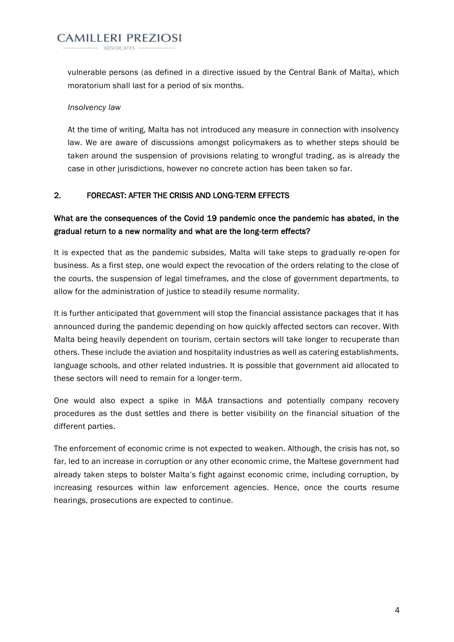**CAMILLERI PREZIOSI** 

vulnerable persons (as defined in a directive issued by the Central Bank of Malta), which moratorium shall last for a period of six months.

### *Insolvency law*

At the time of writing, Malta has not introduced any measure in connection with insolvency law. We are aware of discussions amongst policymakers as to whether steps should be taken around the suspension of provisions relating to wrongful trading, as is already the case in other jurisdictions, however no concrete action has been taken so far.

## 2. FORECAST: AFTER THE CRISIS AND LONG-TERM EFFECTS

# What are the consequences of the Covid 19 pandemic once the pandemic has abated, in the gradual return to a new normality and what are the long-term effects?

It is expected that as the pandemic subsides, Malta will take steps to gradually re-open for business. As a first step, one would expect the revocation of the orders relating to the close of the courts, the suspension of legal timeframes, and the close of government departments, to allow for the administration of justice to steadily resume normality.

It is further anticipated that government will stop the financial assistance packages that it has announced during the pandemic depending on how quickly affected sectors can recover. With Malta being heavily dependent on tourism, certain sectors will take longer to recuperate than others. These include the aviation and hospitality industries as well as catering establishments, language schools, and other related industries. It is possible that government aid allocated to these sectors will need to remain for a longer-term.

One would also expect a spike in M&A transactions and potentially company recovery procedures as the dust settles and there is better visibility on the financial situation of the different parties.

The enforcement of economic crime is not expected to weaken. Although, the crisis has not, so far, led to an increase in corruption or any other economic crime, the Maltese government had already taken steps to bolster Malta's fight against economic crime, including corruption, by increasing resources within law enforcement agencies. Hence, once the courts resume hearings, prosecutions are expected to continue.